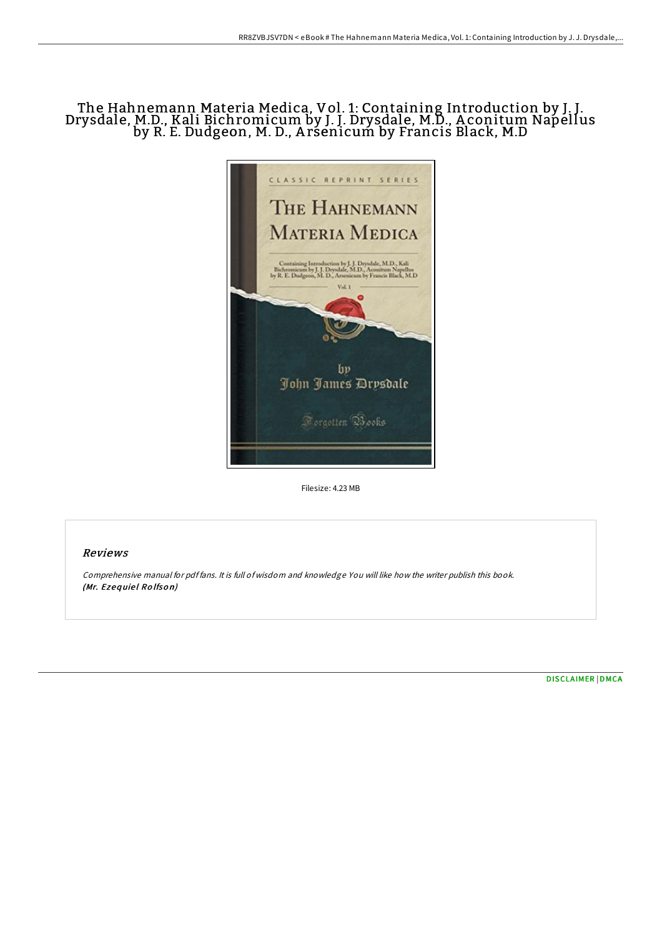# The Hahnemann Materia Medica, Vol. 1: Containing Introduction by J. J. Drysdale, M.D., Kali Bichromicum by J. J. Drysdale, M.D., A conitum Napellus by R. E. Dudgeon, M. D., A rsenicum by Francis Black, M.D



Filesize: 4.23 MB

## Reviews

Comprehensive manual for pdf fans. It is full of wisdom and knowledge You will like how the writer publish this book. (Mr. Ezequiel Rolfson)

[DISCLAIMER](http://almighty24.tech/disclaimer.html) | [DMCA](http://almighty24.tech/dmca.html)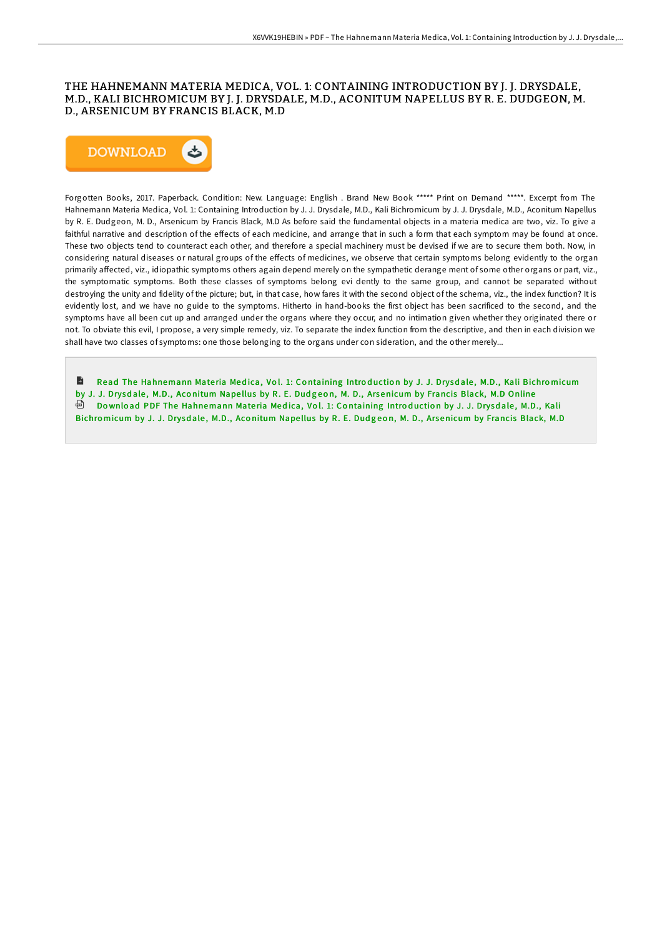### THE HAHNEMANN MATERIA MEDICA, VOL. 1: CONTAINING INTRODUCTION BY J. J. DRYSDALE, M.D., KALI BICHROMICUM BY J. J. DRYSDALE, M.D., ACONITUM NAPELLUS BY R. E. DUDGEON, M. D., ARSENICUM BY FRANCIS BLACK, M.D



Forgotten Books, 2017. Paperback. Condition: New. Language: English . Brand New Book \*\*\*\*\* Print on Demand \*\*\*\*\*. Excerpt from The Hahnemann Materia Medica, Vol. 1: Containing Introduction by J. J. Drysdale, M.D., Kali Bichromicum by J. J. Drysdale, M.D., Aconitum Napellus by R. E. Dudgeon, M. D., Arsenicum by Francis Black, M.D As before said the fundamental objects in a materia medica are two, viz. To give a faithful narrative and description of the effects of each medicine, and arrange that in such a form that each symptom may be found at once. These two objects tend to counteract each other, and therefore a special machinery must be devised if we are to secure them both. Now, in considering natural diseases or natural groups of the effects of medicines, we observe that certain symptoms belong evidently to the organ primarily affected, viz., idiopathic symptoms others again depend merely on the sympathetic derange ment of some other organs or part, viz., the symptomatic symptoms. Both these classes of symptoms belong evi dently to the same group, and cannot be separated without destroying the unity and fidelity of the picture; but, in that case, how fares it with the second object of the schema, viz., the index function? It is evidently lost, and we have no guide to the symptoms. Hitherto in hand-books the first object has been sacrificed to the second, and the symptoms have all been cut up and arranged under the organs where they occur, and no intimation given whether they originated there or not. To obviate this evil, I propose, a very simple remedy, viz. To separate the index function from the descriptive, and then in each division we shall have two classes of symptoms: one those belonging to the organs under con sideration, and the other merely...

Read The [Hahnemann](http://almighty24.tech/the-hahnemann-materia-medica-vol-1-containing-in.html) Materia Medica, Vol. 1: Containing Introduction by J. J. Drysdale, M.D., Kali Bichromicum by J. J. Drysdale, M.D., Aconitum Napellus by R. E. Dudgeon, M. D., Arsenicum by Francis Black, M.D Online ⊕ Download PDF The [Hahnemann](http://almighty24.tech/the-hahnemann-materia-medica-vol-1-containing-in.html) Materia Medica, Vol. 1: Containing Introduction by J. J. Drysdale, M.D., Kali Bichromicum by J. J. Drysdale, M.D., Aconitum Napellus by R. E. Dudgeon, M. D., Arsenicum by Francis Black, M.D